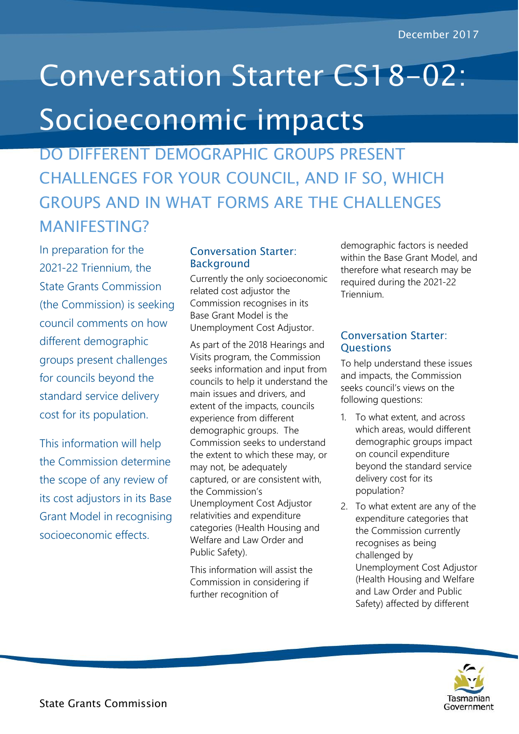## Conversation Starter CS18-02: Socioeconomic impacts

DO DIFFERENT DEMOGRAPHIC GROUPS PRESENT CHALLENGES FOR YOUR COUNCIL, AND IF SO, WHICH GROUPS AND IN WHAT FORMS ARE THE CHALLENGES MANIFESTING?

In preparation for the 2021-22 Triennium, the State Grants Commission (the Commission) is seeking council comments on how different demographic groups present challenges for councils beyond the standard service delivery cost for its population.

This information will help the Commission determine the scope of any review of its cost adjustors in its Base Grant Model in recognising socioeconomic effects.

## Conversation Starter: **Background**

Currently the only socioeconomic related cost adjustor the Commission recognises in its Base Grant Model is the Unemployment Cost Adjustor.

As part of the 2018 Hearings and Visits program, the Commission seeks information and input from councils to help it understand the main issues and drivers, and extent of the impacts, councils experience from different demographic groups. The Commission seeks to understand the extent to which these may, or may not, be adequately captured, or are consistent with, the Commission's Unemployment Cost Adjustor relativities and expenditure categories (Health Housing and Welfare and Law Order and Public Safety).

This information will assist the Commission in considering if further recognition of

demographic factors is needed within the Base Grant Model, and therefore what research may be required during the 2021-22 Triennium.

## Conversation Starter: **Ouestions**

To help understand these issues and impacts, the Commission seeks council's views on the following questions:

- 1. To what extent, and across which areas, would different demographic groups impact on council expenditure beyond the standard service delivery cost for its population?
- 2. To what extent are any of the expenditure categories that the Commission currently recognises as being challenged by Unemployment Cost Adjustor (Health Housing and Welfare and Law Order and Public Safety) affected by different